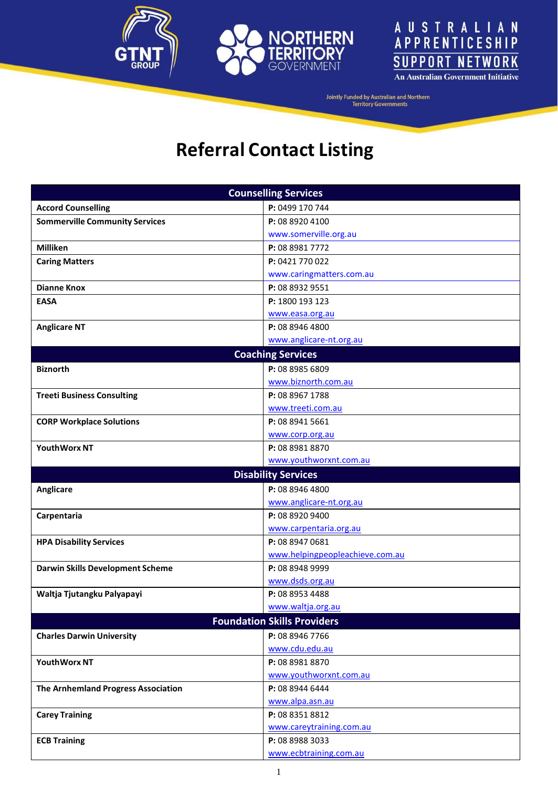





| <b>Counselling Services</b>             |                                             |  |  |
|-----------------------------------------|---------------------------------------------|--|--|
| <b>Accord Counselling</b>               | P: 0499 170 744                             |  |  |
| <b>Sommerville Community Services</b>   | P: 08 8920 4100                             |  |  |
|                                         | www.somerville.org.au                       |  |  |
| <b>Milliken</b>                         | P: 08 8981 7772                             |  |  |
| <b>Caring Matters</b>                   | P: 0421 770 022                             |  |  |
|                                         | www.caringmatters.com.au                    |  |  |
| <b>Dianne Knox</b>                      | P: 08 8932 9551                             |  |  |
| <b>EASA</b>                             | P: 1800 193 123                             |  |  |
|                                         | www.easa.org.au                             |  |  |
| <b>Anglicare NT</b>                     | P: 08 8946 4800                             |  |  |
|                                         | www.anglicare-nt.org.au                     |  |  |
|                                         | <b>Coaching Services</b>                    |  |  |
| <b>Biznorth</b>                         | P: 08 8985 6809                             |  |  |
|                                         | www.biznorth.com.au                         |  |  |
| <b>Treeti Business Consulting</b>       | P: 08 8967 1788                             |  |  |
|                                         | www.treeti.com.au                           |  |  |
| <b>CORP Workplace Solutions</b>         | P: 08 8941 5661                             |  |  |
|                                         | www.corp.org.au                             |  |  |
| <b>YouthWorx NT</b>                     | P: 08 8981 8870                             |  |  |
|                                         | www.youthworxnt.com.au                      |  |  |
|                                         | <b>Disability Services</b>                  |  |  |
| <b>Anglicare</b>                        | P: 08 8946 4800                             |  |  |
|                                         | www.anglicare-nt.org.au                     |  |  |
| Carpentaria                             | P: 08 8920 9400                             |  |  |
|                                         | www.carpentaria.org.au                      |  |  |
| <b>HPA Disability Services</b>          | P: 08 8947 0681                             |  |  |
|                                         | www.helpingpeopleachieve.com.au             |  |  |
| <b>Darwin Skills Development Scheme</b> | P: 08 8948 9999<br>www.dsds.org.au          |  |  |
|                                         |                                             |  |  |
| Waltja Tjutangku Palyapayi              |                                             |  |  |
|                                         | P: 08 8953 4488                             |  |  |
|                                         | www.waltja.org.au                           |  |  |
|                                         | <b>Foundation Skills Providers</b>          |  |  |
| <b>Charles Darwin University</b>        | P: 08 8946 7766                             |  |  |
|                                         | www.cdu.edu.au                              |  |  |
| YouthWorx NT                            | P: 08 8981 8870                             |  |  |
|                                         | www.youthworxnt.com.au                      |  |  |
| The Arnhemland Progress Association     | P: 08 8944 6444                             |  |  |
|                                         | www.alpa.asn.au                             |  |  |
| <b>Carey Training</b>                   | P: 08 8351 8812                             |  |  |
| <b>ECB Training</b>                     | www.careytraining.com.au<br>P: 08 8988 3033 |  |  |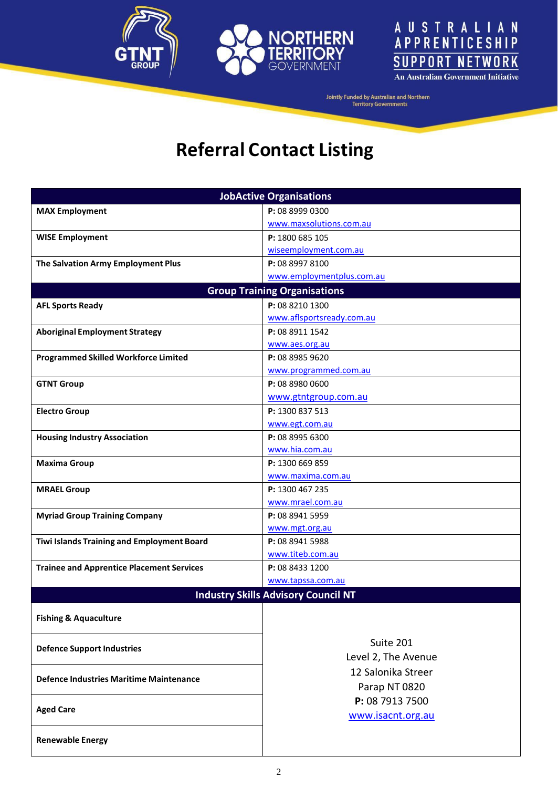





| <b>JobActive Organisations</b>                   |                                            |  |  |  |
|--------------------------------------------------|--------------------------------------------|--|--|--|
| <b>MAX Employment</b>                            | P: 08 8999 0300                            |  |  |  |
|                                                  | www.maxsolutions.com.au                    |  |  |  |
| <b>WISE Employment</b>                           | P: 1800 685 105                            |  |  |  |
|                                                  | wiseemployment.com.au                      |  |  |  |
| The Salvation Army Employment Plus               | P: 08 8997 8100                            |  |  |  |
|                                                  | www.employmentplus.com.au                  |  |  |  |
|                                                  | <b>Group Training Organisations</b>        |  |  |  |
| <b>AFL Sports Ready</b>                          | P: 08 8210 1300                            |  |  |  |
|                                                  | www.aflsportsready.com.au                  |  |  |  |
| <b>Aboriginal Employment Strategy</b>            | P: 08 8911 1542                            |  |  |  |
|                                                  | www.aes.org.au                             |  |  |  |
| <b>Programmed Skilled Workforce Limited</b>      | P: 08 8985 9620                            |  |  |  |
|                                                  | www.programmed.com.au                      |  |  |  |
| <b>GTNT Group</b>                                | P: 08 8980 0600                            |  |  |  |
|                                                  | www.gtntgroup.com.au                       |  |  |  |
| <b>Electro Group</b>                             | P: 1300 837 513                            |  |  |  |
|                                                  | www.egt.com.au                             |  |  |  |
| <b>Housing Industry Association</b>              | P: 08 8995 6300                            |  |  |  |
|                                                  | www.hia.com.au                             |  |  |  |
| <b>Maxima Group</b>                              | P: 1300 669 859                            |  |  |  |
|                                                  | www.maxima.com.au                          |  |  |  |
| <b>MRAEL Group</b>                               | P: 1300 467 235                            |  |  |  |
|                                                  | www.mrael.com.au                           |  |  |  |
| <b>Myriad Group Training Company</b>             | P: 08 8941 5959                            |  |  |  |
|                                                  | www.mgt.org.au                             |  |  |  |
| Tiwi Islands Training and Employment Board       | P: 08 8941 5988                            |  |  |  |
|                                                  | www.titeb.com.au                           |  |  |  |
| <b>Trainee and Apprentice Placement Services</b> | P: 08 8433 1200                            |  |  |  |
|                                                  | www.tapssa.com.au                          |  |  |  |
|                                                  | <b>Industry Skills Advisory Council NT</b> |  |  |  |
|                                                  |                                            |  |  |  |
| <b>Fishing &amp; Aquaculture</b>                 |                                            |  |  |  |
|                                                  | Suite 201                                  |  |  |  |
| <b>Defence Support Industries</b>                | Level 2, The Avenue                        |  |  |  |
|                                                  |                                            |  |  |  |
| Defence Industries Maritime Maintenance          | 12 Salonika Streer                         |  |  |  |
|                                                  | Parap NT 0820                              |  |  |  |
| <b>Aged Care</b>                                 | P: 08 7913 7500                            |  |  |  |
|                                                  | www.isacnt.org.au                          |  |  |  |
|                                                  |                                            |  |  |  |
| <b>Renewable Energy</b>                          |                                            |  |  |  |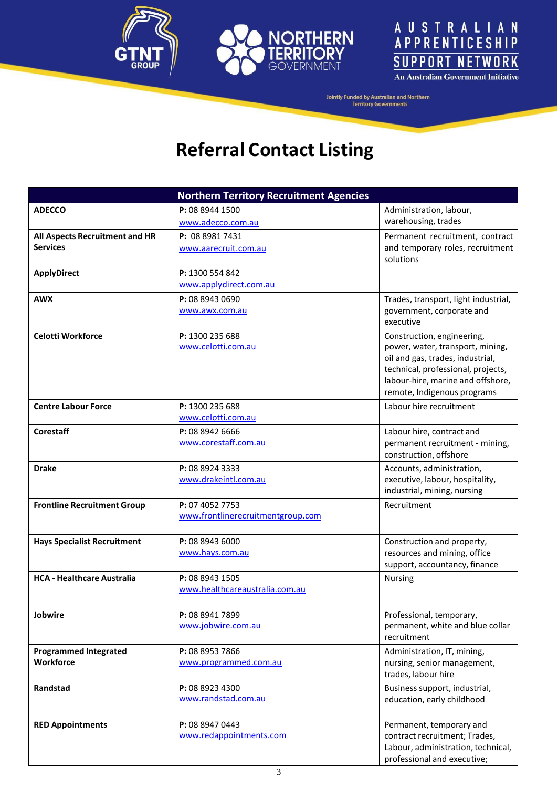





|                                    | <b>Northern Territory Recruitment Agencies</b> |                                                                         |
|------------------------------------|------------------------------------------------|-------------------------------------------------------------------------|
| <b>ADECCO</b>                      | P: 08 8944 1500                                | Administration, labour,                                                 |
|                                    | www.adecco.com.au                              | warehousing, trades                                                     |
| All Aspects Recruitment and HR     | P: 08 8981 7431                                | Permanent recruitment, contract                                         |
| <b>Services</b>                    | www.aarecruit.com.au                           | and temporary roles, recruitment                                        |
|                                    |                                                | solutions                                                               |
| <b>ApplyDirect</b>                 | P: 1300 554 842                                |                                                                         |
|                                    | www.applydirect.com.au                         |                                                                         |
| <b>AWX</b>                         | P: 08 8943 0690                                | Trades, transport, light industrial,                                    |
|                                    | www.awx.com.au                                 | government, corporate and                                               |
|                                    |                                                | executive                                                               |
| <b>Celotti Workforce</b>           | P: 1300 235 688                                | Construction, engineering,                                              |
|                                    | www.celotti.com.au                             | power, water, transport, mining,                                        |
|                                    |                                                | oil and gas, trades, industrial,                                        |
|                                    |                                                | technical, professional, projects,<br>labour-hire, marine and offshore, |
|                                    |                                                | remote, Indigenous programs                                             |
| <b>Centre Labour Force</b>         | P: 1300 235 688                                | Labour hire recruitment                                                 |
|                                    | www.celotti.com.au                             |                                                                         |
| <b>Corestaff</b>                   | P: 08 8942 6666                                | Labour hire, contract and                                               |
|                                    | www.corestaff.com.au                           | permanent recruitment - mining,                                         |
|                                    |                                                | construction, offshore                                                  |
| <b>Drake</b>                       | P: 08 8924 3333                                | Accounts, administration,                                               |
|                                    | www.drakeintl.com.au                           | executive, labour, hospitality,                                         |
|                                    |                                                | industrial, mining, nursing                                             |
| <b>Frontline Recruitment Group</b> | P: 07 4052 7753                                | Recruitment                                                             |
|                                    | www.frontlinerecruitmentgroup.com              |                                                                         |
|                                    |                                                |                                                                         |
| <b>Hays Specialist Recruitment</b> | P: 08 8943 6000<br>www.hays.com.au             | Construction and property,<br>resources and mining, office              |
|                                    |                                                | support, accountancy, finance                                           |
| <b>HCA - Healthcare Australia</b>  | P: 08 8943 1505                                | Nursing                                                                 |
|                                    | www.healthcareaustralia.com.au                 |                                                                         |
|                                    |                                                |                                                                         |
| Jobwire                            | P: 08 8941 7899                                | Professional, temporary,                                                |
|                                    | www.jobwire.com.au                             | permanent, white and blue collar                                        |
|                                    |                                                | recruitment                                                             |
| <b>Programmed Integrated</b>       | P: 08 8953 7866                                | Administration, IT, mining,                                             |
| <b>Workforce</b>                   | www.programmed.com.au                          | nursing, senior management,                                             |
|                                    |                                                | trades, labour hire                                                     |
| Randstad                           | P: 08 8923 4300                                | Business support, industrial,                                           |
|                                    | www.randstad.com.au                            | education, early childhood                                              |
|                                    |                                                |                                                                         |
| <b>RED Appointments</b>            | P: 08 8947 0443                                | Permanent, temporary and                                                |
|                                    | www.redappointments.com                        | contract recruitment; Trades,                                           |
|                                    |                                                | Labour, administration, technical,<br>professional and executive;       |
|                                    |                                                |                                                                         |